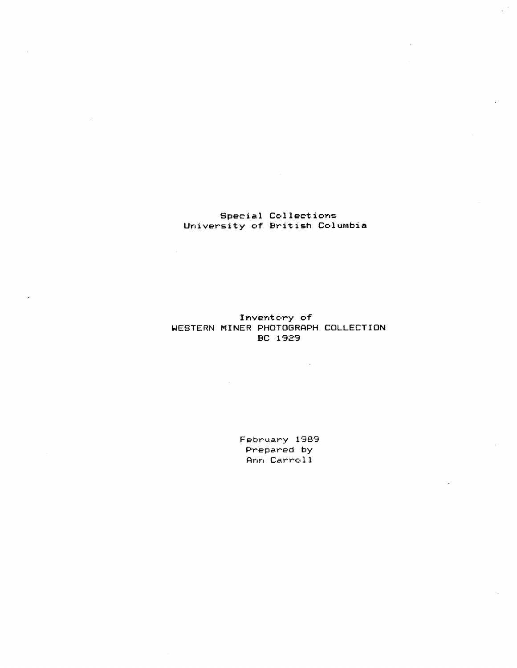# Special Collections University of British Columbia

Inventory of WESTERN MINER PHOTOGRAPH COLLECTION BC 1929

> February 1989 Prepared by Ann Carroll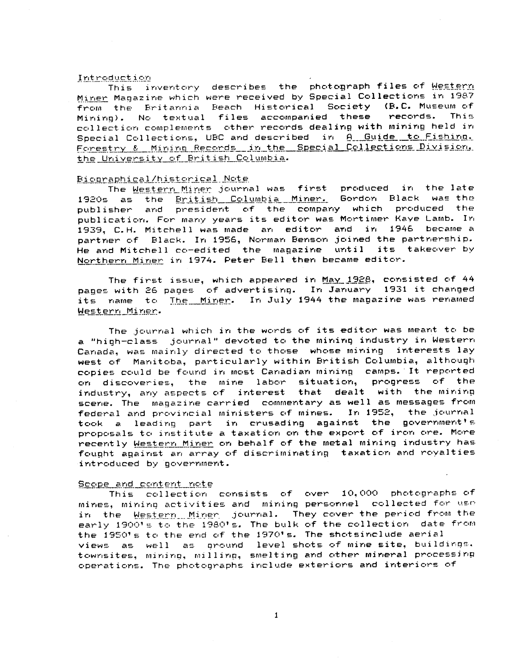### Introduction

This inventory describes the photograph files of Western Miner Magazine which were received by Special Collections in 1987 from the Britannia Beach Historical Society (B.C. Museum of<br>Minirul, No textual files accompanied these, records. This Mining). No textual files accompanied these collection complements other records dealing with mining held in Special Collections, UBC and described in <u>A\_Guide to Fishing.</u><br>Forestry & Mining Records in the Special Collections Division. the University of British Columbia.

<u>Biographical/historical Note</u><br>The <u>Westerr Miner</u> journal was first produced in the late 1920s as the <u>British Columbia Miner</u>. Gordon Black was the publisher and president of the company which produced the publication. For many years its editor was Mortimer Kaye Lamb. In 1939, C .H. Mitchell was made an editor and in 1946 became <sup>a</sup> partner of Black. In 1956, Norman Benson joined the partnership. He and Mitchell co-edited the magazine until its takeover by Northern Miner in 1974. Peter Bell then became editor.

The first issue, which appeared in May 1928, consisted of 44 pages with 26 pages of advertising. In January 1931 it changed its name to The Miner. In July 1944 the magazine was renamed Western Miner.

The journal which in the words of its editor was meant to be a "high-class journal" devoted to the mining industry in Western Canada, was mainly directed to those whose mining interests lay west of Manitoba, particularly within British Columbia, although copies could be found in most Canadian mining camps . It reported on discoveries, the mine labor situation, progress of the industry, any aspects of interest that dealt with the mining scene. The magazine carried commentary as well as messages from federal and provincial ministers of mines. In 1952, the journal took a leading part in crusading against the government's proposals to institute a taxation on the export of iron ore . More recently Western Miner on behalf of the metal mining industry has fought against an array of discriminating taxation and royalties introduced by government .

## Scope and content note

This collection consists of over  $10,000$  photographs of mines, mining activities and mining personnel collected for use in the Western Miner journal. They cover the period from the early 1900's to the 1980's. The bulk of the collection date from the 1950's to the end of the 1970's. The shotsinclude aerial views as well as pround level shots of mine site, buildings. townsites, mining, milling, smelting and other mineral processing operations. The photographs include exteriors and interiors of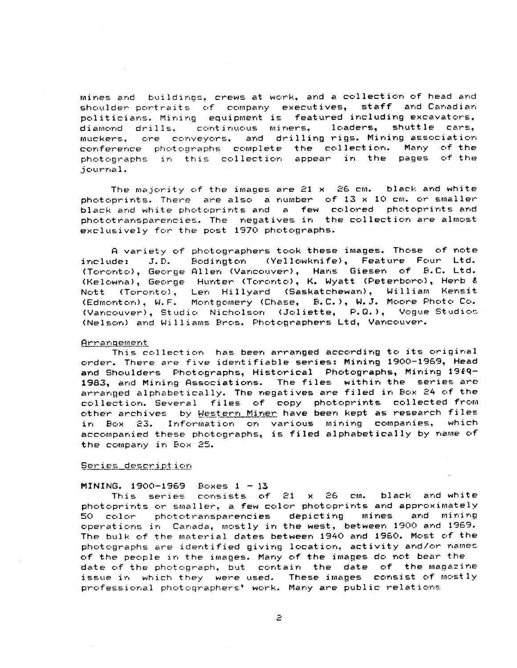mines and buildings, crews at work, and a collection of head and shoulder portraits of company executives, staff and Canadian politicians. Mining equipment is featured including excavators,<br>diamond drills, continuous miners, loaders, shuttle cars, diamond drills, continuous miners,<br>muckers, ore conveyors, and drilling muckers, ore conveyors, and drilling-rigs.-Mining-association<br>Conference photographs complete the collection. Many of-the conference photographs complete the collection. Many of-the<br>photographs in this collection appear in the pages of-the photographs in this collection appear in the pages journal .

The majority of the images are  $21 \times 26$  cm. black and white photoprints. There are also a number of  $13 \times 10$  cm. or smaller black and white photoprints and a few colored photoprints and phototransparencies. The negatives in the collection are almost exclusively for the post 1970 photographs.

A variety of photographers took these images. Those of note include: J.D. Bodington (Yellowknife), Feature Four Ltd. (Toronto), George Allen (Vancouver), Hans Giesen of B.C. Ltd. (Kelowna), George Hunter (Toronto), K. Wyatt (Peterboro), Herb & Nott (Toronto), Len Hillyard (Saskatchewan), William Kensit (Edmonton), W.F. Montgomery (Chase, B.C.), W.J. Moore Photo Co. (Vancouver), Studio Nicholson (Joliette, P.Q.), Vogue Studios (Nelson) and Williams Bros . Photographers Ltd, Vancouver .

#### Arrangement

This collection has been arranged according to its original order. There are five identifiable series: Mining 1900-1969, Head and Shoulders Photographs, Historical Photographs, Mining 1969-1983, and Mining Associations. The files within the series are arranged alphabetically. The negatives are filed in Box 24 of the collection. Several files of copy photoprints collected from other archives by <u>Western Miner</u> ha<mark>ve been kept as research files</mark><br>in Box 23. Information on various mining companies, which in Box 23. Information on various mining companies, accompanied these photographs, is filed alphabetically by name of the company in Box 25.

## Series description

## $MINING. 1900-1969 \text{Bokes} 1 - 13$

This series consists of  $21 \times 26$  cm. black and white photoprints or smaller, a few color photoprints and approximately 50 color phototransparencies depicting mines and mining operations in Canada, mostly in the west, between 1900 and 1969 . The bulk of the material dates between 1940 and 1960. Most of the photographs are identified giving location, activity and/or names of the people in the images . Many of the images do not bear the date of the photograph, but contain the date of the magazine issue in which they were used. These images consist of mostly professional photographers' work . Many are public relations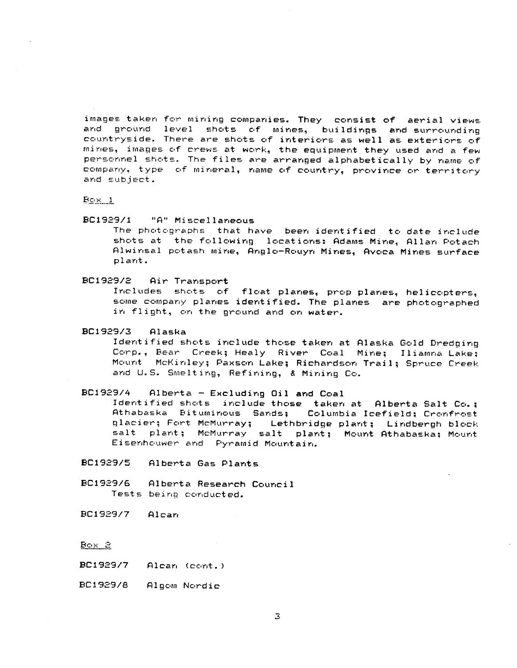images taken for mining companies. They consist of aerial views<br>and pround level shots of mines, buildings and surrounding ground level shots of mines, buildings and surrounding countryside. There are shots of interiors as well as exteriors of mines, images of crews at work, the equipment they used and a few personnel shots. The files are arranged alphabetically by name of company, type of mineral, name of country, province or territory and subject .

Box <sup>1</sup>

89C1929/1 "A" Miscellaneous

The photographs that have been identified to date include shots at the following locations: Adams Mine, Allan Potach Alwinsal potash mine, Anglo-Rouyn Mines, Avoca Mines surface plant .

BC1929/2 Air Transport

Includes shots of float planes, prop planes, helicopters, some company planes identified. The planes are photographed in flight, on the ground and on water.

# PC1929/3 Alaska

Identified shots include those taken at Alaska Gold Dredging Corp., Bear Creek; Healy River Coal Mine; Iliamna Lake; Mount McKinley; Paxson Lake; Richardson Trail; Spruce Creek and U.S. Smelting, Refining, & Mining Co.

# BC1929/4 Alberta - Excluding Oil and Coal

Identified shots include those taken at Alberta Salt Co. ; Athabaska Bituminous Sands; Columbia Icefield; Cronfrost<br>glacier; Fort McMurray; Lethbridge plant; Lindbergh block Lethbridge plant; Lindbergh block salt plant; McMurray salt plant; Mount Athabaska; Mount Eisenhouwer and Pyramid Mountain .

- PC1929/5 Alberta Gas Plant s
- PC1929/6 Alberta Research Counci <sup>l</sup> Tests being conducted.

BC1929/7 Alcan

Pox2

- PC1929/7 Alcan (cont . )
- BC1929/8 Algom Nordic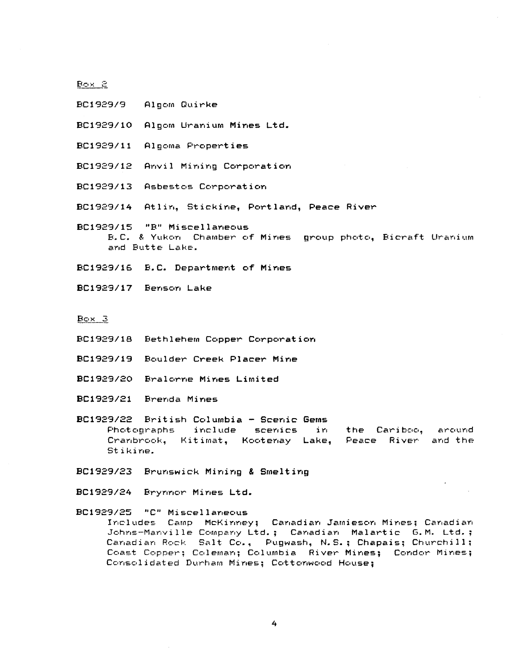poxEL

- BC1929/9 Algom Quirke
- BC1929/10 Algom Uranium Mines Ltd.
- BC1929/11 Algoma Properties
- BC1929/12 Anvil Mining Corporation
- BC1929/13 Asbestos Corporation
- BC1929/14 Atlin, Stickine, Portland, Peace River
- **BC1929/15 "B" Miscellaneou s** B.C. & Yukon Chamber of Mines group photo, Bicraft Uranium and Butte Lake.
- **BC1929/16 B .C. Department of Mine s**
- **BC1929/17 Benson Lake**

**Box3**

- BC1929/18 Bethlehem Copper Corporation
- BC1929/19 Boulder Creek Placer Mine
- BC1929/20 Bralorne Mines Limited
- BcI929/21 Brenda Mines

BC1929/22 British Columbia - Scenic Gems Photographs include scenics in the Cariboo, around<br>Cranbrook, Kitimat, Kootenay Lake, Peace River and the Cranbrook, Kitimat, Kootenay Lake, Stikine.

- **BC19 9/23 Brunswick Mining & Smeltin g**
- **BC1929/24 Brynnor Mines Ltd .**

BC1929/25 "C" Miscellaneous Includes Camp McKinney; Canadian Jamieson Mines; Canadian Johns-Manville Company Ltd.; Canadian Malartic G.M. Ltd.; Canadian Rock Salt Co., Pugwash, N.S.; Chapais; Churchill; Coast Copper; Coleman; Columbia River Mines; Condor Mines; Consolidated Durham Mines; Cottonwood House;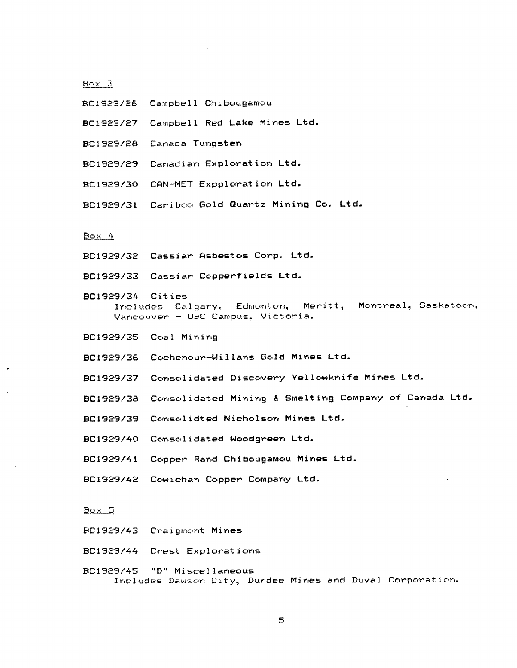$B\infty\times$  3

- BC1929/26 Campbell Chibougamou
- BC1929/27 Campbell Red Lake Mines Ltd.
- BC1929/28 Canada Tungsten
- BC1929/29 Canadian Exploration Ltd.
- BC1929/30 CAN-MET Expploration Ltd.
- BC1929/31 Cariboo Gold Quartz Mining Co. Ltd.

# $Bc \times 4$

- BC1929/32 Cassiar Asbestos Corp. Ltd.
- BC1929/33 Cassiar Copperfields Ltd.
- BC1929/34 Cities Includes Calgary, Edmonton, Meritt, Montreal, Saskatoon, Vancouver - UBC Campus, Victoria .
- BC1929/35 Coal Mining
- **BC1929/36 Cochenour-Willans Gold Mines Ltd .**
- BC1929/37 Consolidated Discovery Yellowknife Mines Ltd.
- BC1929/38 Consolidated Mining & Smelting Company of Canada Ltd.
- BC1929/39 Consolidted Nicholson Mines Ltd.
- **BC1929/40 Consolidated Woodgreen Ltd .**
- BC1929/41 Copper Rand Chibougamou Mines Ltd.
- BC1929/42 Cowichan Copper Company Ltd.

## $B \sim 5$

- BC1929/43 Craigmont Mines
- BC1929/44 Crest Explorations

BC1929/45 "D" Miscellaneous Includes Dawson City, Dundee Mines and Duval Corporation.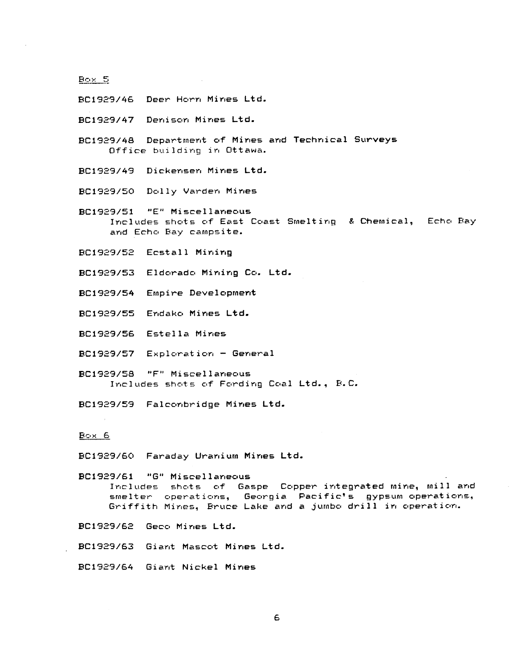BC1929/46 Deer Horn Mines Ltd.

BC1929/47 Denison Mines Ltd.

BC1929/48 Department of Mines and Technical Survey s Office building in Ottawa.

BC1929/49 Dickensen Mines Ltd.

BC1929150 Dolly Varden Mines

BC1929/51 "E" Miscellaneous Includes shots of East Coast Smelting & Chemical, Echo Bay and Echo Bay campsite.

**BC1929/52 Ecstall Mining**

**BC1929/53 Eldorado Mining Co . Ltd .**

**D9C1929/54 Empire Developmen <sup>t</sup>**

**29C1929/55 Endako Mines Ltd .**

BC1929/56 Estella Mines

BC1929/57 Exploration - Genera <sup>l</sup>

89C1929/58 "F" Miscellaneou s Includes shots of Fording Coal Ltd., B.C.

BC1929/59 Falconbridge Mines Ltd.

Box<sub>6</sub>

BC1929/60 Faraday Uranium Mines Ltd.

BC1929/61 "G" Miscellaneous Includes shots of Gaspe Copper integrated mine, mill and smelter operations, Georgia Pacific's gypsum operations, Griffith Mines, Bruce Lake and a jumbo drill in operation.

BC1929/62 Geco Mines Ltd.

. BC1929/63 Giant Mascot Mines Ltd .

BC1929/64 Giant Nickel Mines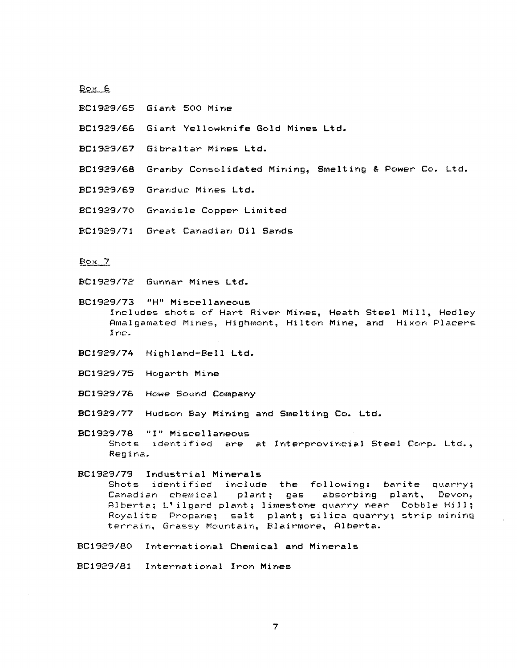## Box<sub>6</sub>

- BC1929/65 Giant 500 Mine
- **BC1929/66 Giant Yellowknife Gold Mines Ltd .**
- **BC1929/67 Gibraltar Mines Ltd .**
- BC1929/68 Granby Consolidated Mining, Smelting & Power Co. Ltd.
- BC1929/69 Granduc Mines Ltd.
- BC1929/70 Granisle Copper Limited
- BC1929/71 Great Canadian Oil Sands

## Box7

BC1929/72 Gunnar Mines Ltd.

**BC1929/73 "H" Miscellaneou s** Includes shots of Hart River Mines, Heath Steel Mill, Hadley Amalgamated Mines, Highmont, Hilton Mine, and Nixon Placers Inc.

- BC1929/74 Highland-Bell Ltd.
- D9C1929/75 Hogarth Mine
- BC1929/76 Howe Sound Company
- BC1929/77 Hudson Bay Mining and Smelting Co. Ltd.
- BC1929/78 "I" Miscellaneous Shots identified are at Interprovincial Steel Corp. Ltd., Regina .
- BC1929/79 Industrial Minerals Shots identified include the following: barite quarry;<br>Canadian chemical plant; gas absorbing plant. Devon, absorbing plant, Alberta; L'ilgard plant; limestone quarry near Cobble Hill; Royalite Propane; salt plant; silica quarry; strip mining terrain, Grassy Mountain, Blairmore, Alberta.
- BC1929/80 International Chemical and Mineral <sup>s</sup>
- BC1929/81 International Iron Mines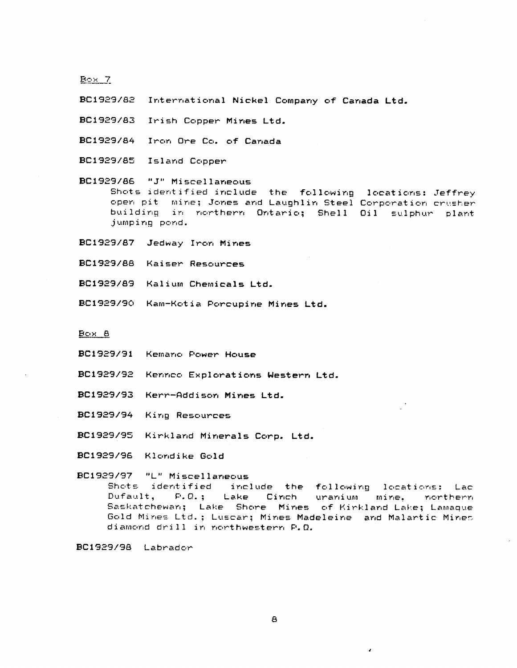$E \circ x$  7

BC1929/82 International Nickel Company of Canada Ltd.

BC1929/83 Irish Copper Mines Ltd.

**BC1929/84 Iron Ore Co . of Canad a**

BC1929y85 Island Copper

BC1929/86 "J" Miscellaneous Shots identified include the following locations: Jeffrey open pit mine; Jones and Laughlin Steel Corporation crusher building in northern Ontario; Shell Oil sulphur plant jumping pond .

BC1929/87 Jedway Iron Mines

BC1 g29/88 Kaiser Resources

**BC1929/8S Kalium Chemicals Ltd .**

BC1929/90 Kam-Kotia Porcupine Mines Ltd.

Box 8

BC1929/91 Kemano Power House

**BC1929/92 Kennco Explorations Western Ltd .**

**89C1929/93 Kerr-Addison Mines Ltd .**

BC1929/94 King Resources

BC1929/95 Kirkland Minerals Corp. Ltd.

BC1929/96 Klondike Gold

#### BC1929/97 "L" Miscellaneous

Shots identified include the following locations: Lac<br>Dufault, P.O.: Lake Cinch uranium mine, northern Lake Cinch uranium mine, northern Saskatchewan; Lake Shore Mines of Kirkland Lake; Lamaque Gold Mines Ltd.; Luscar; Mines Madeleine and Malartic Mines diamond drill in northwestern P.O.

BC1929/98 Labrador

4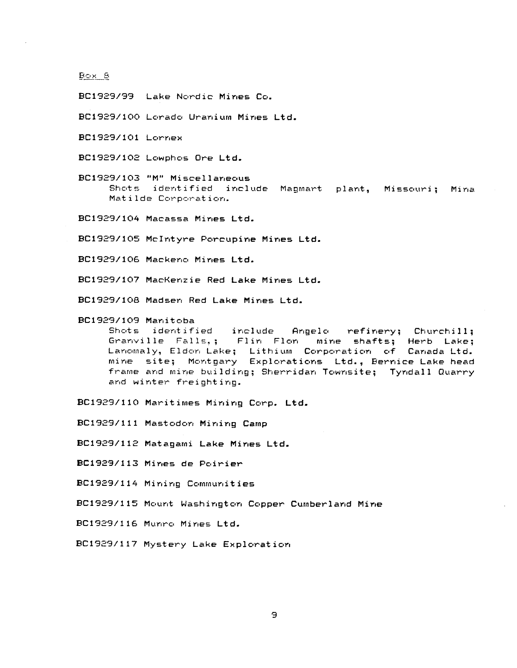BC1929/99 Lake Nordic Mines Co.

BC1929/100 Lorado Uranium Mines Ltd.

BC1929/101 Lorne <sup>x</sup>

BC1929/102 Lowphos Ore Ltd.

BC1929/103 "M" Miscellaneous Shots identified include Magmart plant, Missouri; Mina Matilde Corporation.

BC1929/104 Macassa Mines Ltd.

BC1929/105 McIntyre Porcupine Mines Ltd.

BC1929/106 Mackeno Mines Ltd.

BC1929/107 MacKenzie Red Lake Mines Ltd.

BC1929/108 Madsen Red Lake Mines Ltd.

BC1929/109 Manitoba Angelo refinery; Churchill; Granville Falls,; Flin Flon mine shafts; Herb Lake; Lanomaly, Eldon Lake; Lithium Corporation of Canada Ltd. mine site; Montgary Explorations Ltd., Bernice Lake head frame and mine building; Sherridan Townsite; Tyndall Quarry and winter freighting.

BC1929/110 Maritimes Mining Corp. Ltd.

BC1929/111 Mastodon Mining Camp

BC1929/112 Matagami Lake Mines Ltd.

**BC1929 <sup>y</sup> 113 Mines de Poirier**

BC1929/114 Mining Communitie <sup>s</sup>

BC1929/115 Mount Washington Copper Cumberland Mine

BC1929/116 Munro Mines Ltd.

BC1929/117 Mystery Lake Exploration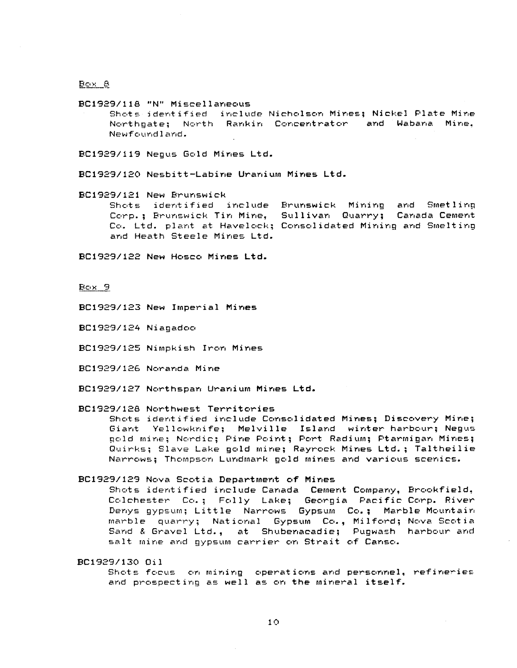$B\infty$   $8$ 

BC1929/118 "N" Miscellaneous

Shots identified include Nicholson Mines ; Nickel Plate Mine Northgate; North Rankin Concentrator and Wabana Mine, Newfoundland .

BC1929/119 Negus Gold Mines Ltd.

BCI929/120 Nesbitt-Labine Uranium Mines Ltd .

BC1929/121 New Brunswick Shots identified include Brunswick Mining and Smetling<br>Corp.: Brunswick-Tin-Mine, Sullivan Quarry: Canada-Cement Corp.; Brunswick Tin Mine, Sullivan Quarry; Co. Ltd. plant at Havelock; Consolidated Mining and Smelting and Heath Steele Mines Ltd.

**BC1929/122 New Hosco Mines Ltd .**

Box9

BC1929/123 New Imperial Mines

BC1929/124 Niagedoo

BC1929/125 Nimpkish Iron Mines

BC1929/126 Noranda Mine

BC1929/127 Northspan Uranium Mines Ltd.

BC1929/128 Northwest Territories

Shots identified include Consolidated Mines; Discovery Mine; Giant Yellowknife; Melville Island winter harbour; Negus gold mine; Nordic; Pine Point; Port Radium; Ptarmigan Mines; Quirks; Slave Lake gold mine; Rayrock Mines Ltd.; Taltheilie Narrows ; Thompson Lundmark gold mines and various scenics .

#### BC1929/129 Nova Scotia Department of Mines

Shots identified include Canada Cement Company, Brookfield, Colchester Co.; Folly Lake; Georgia Pacific Corp. River Denys gypsum; Little Narrows Gypsum Co.; Marble Mountain marble quarry; National Gypsum Co., Milford; Nova Scotia Sand & Gravel Ltd., at Shubenacadie; Pugwash harbour and salt mine and gypsum carrier on Strait of Canso.

BC1929/130 Oi <sup>l</sup>

Shots focus on mining operations and personnel, refineries and prospecting as well as on the mineral itself.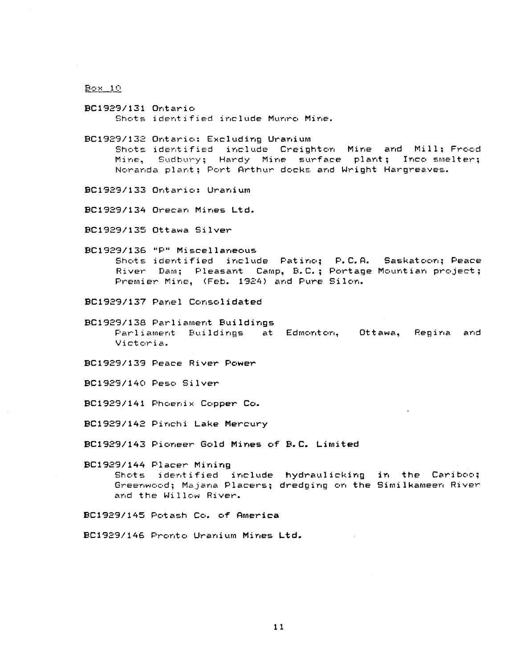BC1929/131 Ontari o Shots identified include Munro Mine.

BC1929/132 Ontario: Excluding Uranium Shots identified include Creighton Mine and Mill: Frood Mine, Sudbury; Hardy Mine surface plant; Inco smelter; Noranda plant ; Port Arthur docks and Wright Hargreaves.

BC1929/133 Ontario: Uranium

BC1929/134 Orecan Mines Ltd.

BC1929/135 Ottawa Silver

**BC1929/136 "P" Miscellaneou s** Shots identified include Patino; P.C.A. Saskatoon; Peace River Dam; Pleasant Camp, B.C.; Portage Mountian project; Premier Mine, (Feb. 1924) and Pure Silon.

BC1929/137 Panel Consolidated

BC1929/138 Parliament Buildings Parliament Buildings at Edmonton, Ottawa, Regina and Victoria .

BC1929/139 Peace River Power

BC192S/140 Peso Silver

BC1929/141 Phoenix Copper Co.

BC1929/142 Pinchi Lake Mercury

BC1929/143 Pioneer Gold Mines of B.C. Limited

BC1929/144 Placer Mining Shots identified include hydraulicking in the Cariboo; Greenwood; Majana Placers; dredging on the Similkameen River and the Willow River.

BC1929/145 Potash Co. of America

BC1929/146 Pronto Uranium Mines Ltd.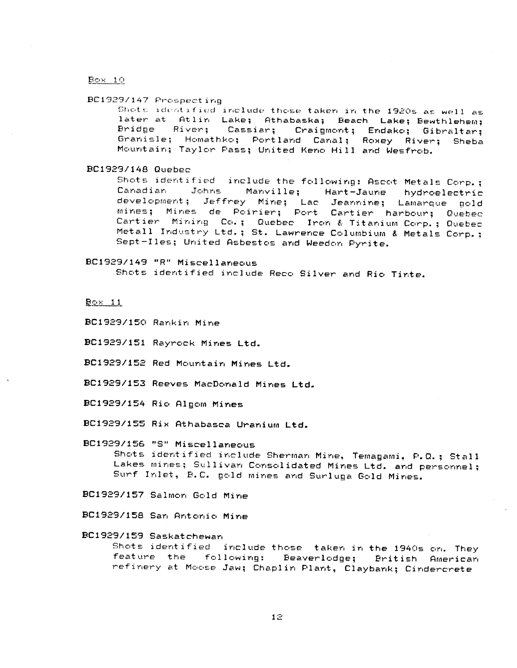$B$ OX 10

BC1929/147 Prospecting

Shots identified include those taken in the 1920s as well as later at Atlin Lake; Athabaska; Beach Lake; Bewthlehem; Bridge River; Cassiar; Craigmont; Endako; Gibraltar; Granisle; Homathko; Portland Canal; Roxey River; Sheba Mountain; Taylor Pass; United Keno Hill and Wesfrob.

BC1929/148 Quebec

Shots identified include the following: Ascot Metals Corp.;<br>Canadian : Johns : Manville; : Hart-Jaune : hydroelectric Canadian Johns Manville; Hart-Jaune hydroelectric development; Jeffrey Mine; Lac Jeannine; Lamarque gold mines; Mines de Poirier; Port Cartier harbour; Quebec Cartier Mining Co.; Quebec Iron & Titanium Corp.; Quebec Metall Industry Ltd.; St. Lawrence Columbium & Metals Corp.; Sept-Iles; United Asbestos and Weedon Pyrite.

BC1929/149 "R" Miscellaneou s Shots identified include Reco Silver and Rio Tinte .

Box 11

BC1929/150 Rankin Mine

BC1929/151 Rayrock Mines Ltd.

- BC1929/152 Red Mountain Mines Ltd.
- BC1929/153 Reeves MacDonald Mines Ltd.
- 89C1929/154 Rio A1gom Mines
- **BC1929/155 Rix Athabasca Uranium Ltd .**

**BC1929/156 °S" Miscellaneou s** Shots identified include Sherman Mine, Temagami, P.Q.; Stall Lakes mines; Sullivan Consolidated Mines Ltd. and personnel; Surf Inlet, B.C. gold mines and Surluga Gold Mines.

BC1929/157 Salmon Gold Mine

BC1929/158 San Antonio Mine

BC1929/159 Saskatchewan

Shots identified include those taken in the 1940s on. They<br>feature the following: Beaverlodge; British American feature the following: Beaverlodge; refinery at Moose Jaw; Chaplin Plant, Claybank; Cindercrete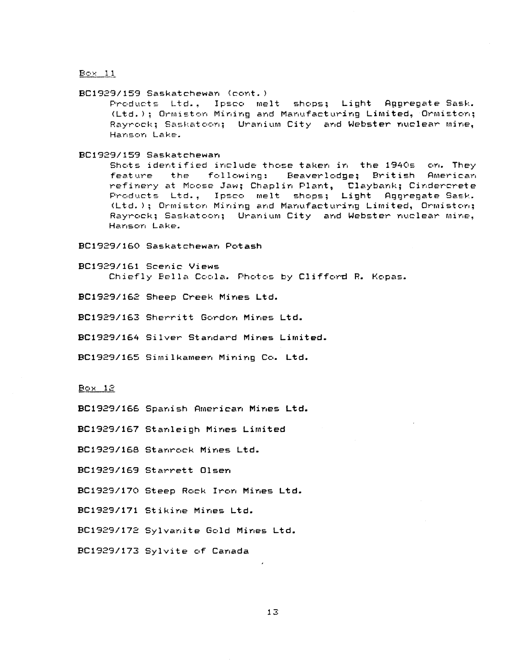#### BC1929/159 Saskatchewan (cont . )

Products Ltd., Ipsco melt shops; Light Aggregate-Sask. (Ltd.); Ormiston Mining and Manufacturing Limited, Ormiston; Rayrock: Saskatoon; Uranium City and Webster nuclear mine, Hanson Lake .

BC1929/159 Saskatchewan

Shots identified include those taken in the 1940s on. They<br>feature the following: Beaverlodge; British American following: Beaverlodge; British American refinery at Moose Jaw; Chaplin Plant, Claybank; Cindercrete Products Ltd., Ipsco melt shops; Light Aggregate-Sask. (Ltd.); Ormiston Mining and Manufacturing Limited, Ormiston; Rayrock; Saskatoon; Uranium City and Webster nuclear mine, Hanson Lake .

## BC1929/160 Saskatchewan Potash

BC1929/161 Scenic Views Chiefly Bella Coola. Photos by Clifford R. Kopas.

BC1929/162 Sheep Creek Mines Ltd.

BC1929/163 Sherritt Gordon Mines Ltd.

BC1929/164 Silver Standard Mines Limited .

BC1929/165 Similkameen Mining Co. Ltd.

 $Box 12$ 

**BC1929/166 Spanish American Mines Ltd .**

**BC1929 <sup>y</sup> 167 Stanleigh Mines Limite d**

**D9C1929/168 Stanrock Mines Ltd .**

**BC1929/169 Starrett Olsen**

BC1929/170 Steep Rock Iron Mines Ltd.

BC1929/171 Stikine Mines Ltd.

BC1929/172 Sylvanite Gold Mines Ltd.

BC1929/173 Sylvite of Canada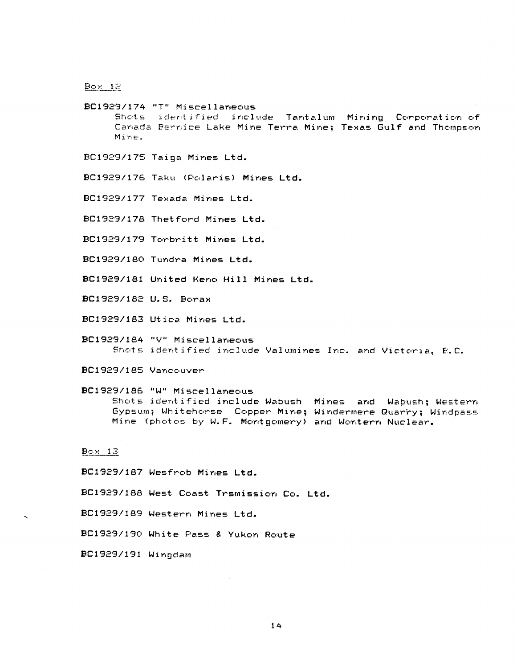$B<sub>ox</sub>$   $12$ 

BC1929/174 "T" Miscellaneous Shots identified include Tantalum Mining Corporation of Canada Bernice Lake Mine Terra Mine: Texas Gulf and Thompson Mine .

- BC1929/175 Taiga Mines Ltd.
- BC1929/176 Taku (Polaris) Mines Ltd.
- BC1929/177 Texada Mines Ltd.
- BC1929/178 Thetford Mines Ltd.
- BC1929/179 Torbritt Mines Ltd.
- BC1929/180 Tundra Mines Ltd.

BC1929/181 United Keno Hill Mines Ltd.

BC1929/182 U.S. Borax

BC1929/183 Utica Mines Ltd.

- BC1929/184 "V" Miscellaneous Shots identified include Valumines Inc. and Victoria, B.C.
- BC1929/1B5 Vancouver
- 0C1929/18G "W" Miscellaneous Shots identified include Wabush Mines and Wabush; Western Gypsum; Whitehorse Copper Mine; Windermere Quarry; Windpass Mine (photos by W.F. Montgomery) and Wontern Nuclear.

# $B$ ox 13

BC1929/187 Wesfrob Mines Ltd.

BC1929/188 West Coast Trsmission Co. Ltd.

BC1929/189 Western Mines Ltd.

BC1929/190 White Pass & Yukon Route

BC1929/191 Wingdam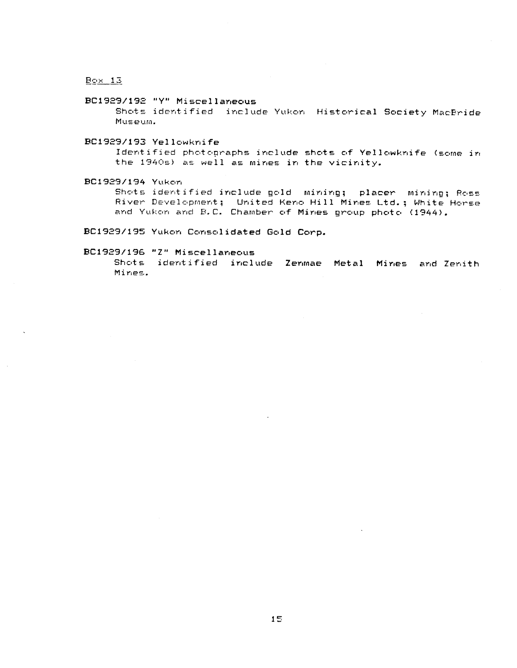$B<sub>2</sub> \times 13$ 

# BC1929/192 "Y" Miscellaneous

Shots identified include Yukon Historical Society MacBride Museum .

# BC1929/193 Yellowknife

Identified photographs include shots of Yellowknife (some in the 1940s) as well as mines in the vicinity.

# BC1929/194 Yukon

Shots identified include gold mining; placer mining; Ross River Development; United Keno Hill Mines Ltd.; White Horse and Yukon and B.C. Chamber of Mines group photo (1944).

BC1929/195 Yukon Consolidated Gold Corp.

## **BC1929/196 "Z" Miscellaneou s**

Shots identified include Zenmae Metal Mines and Zenith Mines .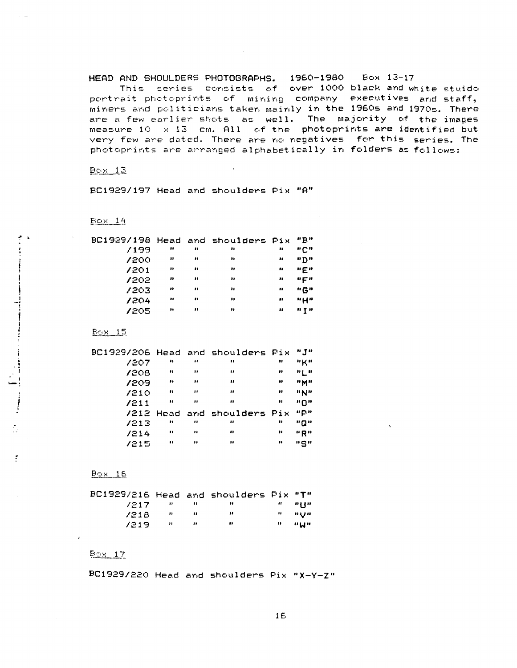HEAD AND SHOULDERS PHOTOGRAPHS . 1960-1980 *Box 13-1 <sup>7</sup>*

This, series, consists of over 1000 black and white stuido portrait photoprints of mining company executives and staff, miners and politicians taken mainly in the 1960s and 1970s. There are a few earlier shots as well. The majority of the images measure  $10 \times 13$  cm. All of the photoprints are identified but very few are dated. There are no negatives for this series. The photoprints are arranged alphabetically in folders as follows:

 $Bc(x - 12)$ 

BC1929/197 Head and shoulders Pix "A"

 $E$ <sub>C</sub> $\times$  14

ł

| BC1929/198 Head and shoulders Pix |                  |    |    |                  | "P"         |
|-----------------------------------|------------------|----|----|------------------|-------------|
| 7199                              | ,,               | н  | ., | ,,               | "C"         |
| 7200                              | ,,               | ,, | 88 | 11               | "D"         |
| 7201                              | $\bullet\bullet$ | ., | ., | $\bullet\bullet$ | $n \in n$   |
| 7202                              | $\bullet\bullet$ | ,, | ., | ,,               | $n \in n$   |
| 7203                              | ,,               | ,, | ,, | ,,               | "G"         |
| 1204                              | $\bullet$        |    |    | ,,               | "H"         |
| 7205                              | $\bullet\bullet$ | ,, | ,, | ,,               | $P$ $T$ $P$ |
|                                   |                  |    |    |                  |             |

 $B<sub>C</sub> \times 15$ 

| BC1929/206 Head and shoulders Pix |                  |                  |                             |                  | $H_{\text{H}}$ |
|-----------------------------------|------------------|------------------|-----------------------------|------------------|----------------|
| 7207                              | 88               | $\bullet$        | ,,                          | 88               | $"$ K"         |
| 7208                              | $\bullet$        | 88               | 88                          | ,,               | ոլ ո           |
| 1209                              | .,               | $\bullet\bullet$ | $\bullet$                   | $\bullet$        | <b>HMH</b>     |
| 7210                              | $\bullet\bullet$ | $\bullet$        | $\bullet$                   | ,,               | $\mathbf{H}$   |
| 7211                              | $\bullet\bullet$ | $\bullet\bullet$ | $\ddot{\phantom{a}}$        | ,,               | "በ"            |
|                                   |                  |                  | /212 Head and shoulders Pix |                  | ""             |
| /213                              | .,               | $\bullet$        | .,                          | 88               | "0"            |
| 1214                              |                  | ,,               | ,,                          | ,,               | "R"            |
| /215                              | $\pmb{\ast}$     | .,               | $\bullet \bullet$           | $\bullet\bullet$ | "5"            |

 $B<sub>2</sub> \times 16$ 

| BC1929/216 Head and shoulders Pix "T" |                       |          |      |           |
|---------------------------------------|-----------------------|----------|------|-----------|
| 7217.                                 |                       |          |      | a ann     |
| 7218                                  | - 11 - 11 - 11 - 11 - |          | - 11 | ு சுமூக   |
| 7219.                                 | <b>COMPANY</b>        | $\cdots$ | ,,   | ារ អញ្ញារ |

# $B_{2}x$  17

BC1929/220 Head and shoulders Fix "X-Y-Z "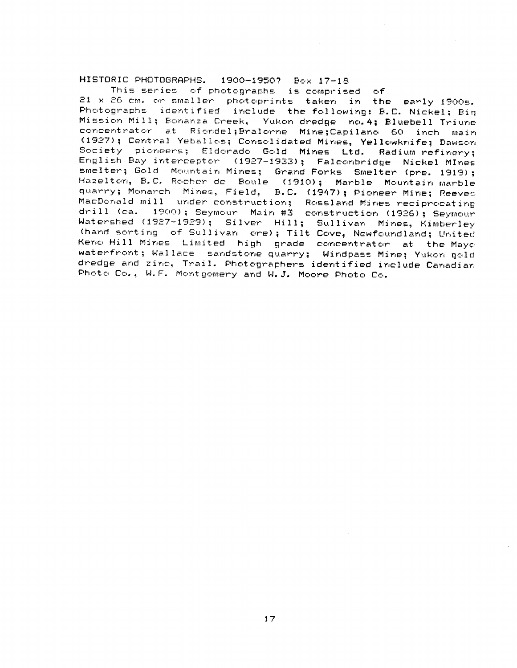# HISTORIC PHOTOGRAPHS. 1900-1950? Box 17-18

This series of photographs is comprised of 21 x 26 cm. or smaller photoprints taken in the early 1900s . Photographs identified include the following: B.C. Nickel; Big Mission Mill; Bonanza Creek, Yukon dredge no.4; Bluebell Triune concentrator at Riondel; Bralorne Mine; Capilano 60 inch main (1927); Central Yeballos; Consolidated Mines, Yellowknife; Dawson Society pioneers; Eldorado Gold Mines Ltd. Radium refinery; English Bay interceptor (1927-1933); Falconbridge Nickel MInes smelter; Gold Mountain Mines; Grand Forks Smelter (pre. 1919); Hazelton, B.C. Rocher de Boule (1910); Marble Mountain marble quarry; Monarch Mines, Field, B.C. (1947); Pioneer Mine; Reeves MacDonald mill under construction; Rossland Mines reciprocating drill (ca. 1900); Seymour Main #3 construction (1926); Seymour Watershed (1927-1929); Silver Hill; Sullivan Mines, Kimberley (hand sorting of Sullivan ore); Tilt Cove, Newfoundland; United Keno Hill Mines Limited high grade concentrator at the Mayo waterfront; Wallace sandstone quarry; Windpass Mine; Yukon gold dredge and zinc, Trail. Photographers identified include Canadian Photo Co., W.F. Montgomery and W.J. Moore Photo Co.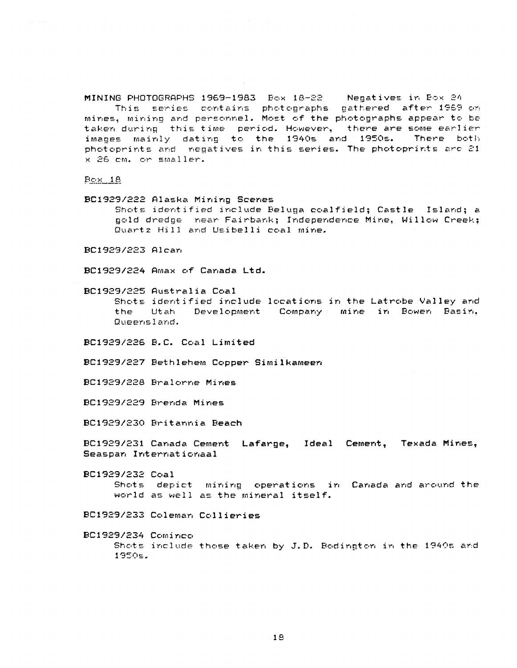**MINING PHOTOGRAPHS 1969-1983 Box 18-22 Negatives in 2ox 2 <sup>4</sup>** This series contains photographs gathered after 1969 on mines, mining and personnel. Most of the photographs appear to be taken during this time period. However, there are some earlier<br>imapes mainly dating to the 1940s and 1950s. There both images mainly dating to the 1940s and 1950s. photoprints and negatives in this series. The photoprints are  $21$ x 26 cm. or smaller.

### $Bc \times 18$

BC1929/222 Alaska Mining Scenes

Shots identified include Beluga coalfield; Castle Island; a gold dredge mear Fairbank; Independence Mine, Willow Creek; Quartz Hill and Usibelli coal mine.

BC1929/223 Alcan

**BCI929/224 Amax of Canada Ltd .**

BC1929/225 Australia Coa <sup>l</sup> Shots identified include locations in the Latrobe Valley and the Utah Development Company mine in Bowen Basin, Queensland.

BC1929/226 B.C. Coal Limited

BC1929/227 Bethlehem Copper Simi1hameen

BC1929/228 Bra1orne Mines

%]C1929/229 Brenda Mines

BC1929/230 Britannia Beach

**BC1929/231 Canada Cement Lafarge, Ideal Cement, Texada Mines , Seaspan %nternationaa <sup>l</sup>**

0C1929/232 Coa <sup>l</sup> Shots depict mining operations in Canada and around the world as well as the mineral itself.

BC1929/233 Coleman Collieries

BC1929/234 Cominco Shots include those taken by J.D. Bodington in the 1940s and 1950s.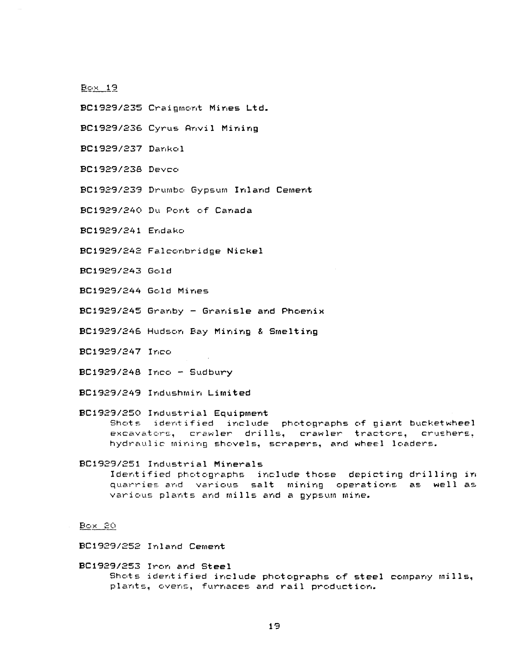- BC1929/235 Craigmont Mines Ltd.
- BC1929/236 Cyrus Anvil Mining
- BC1929/237 Danko <sup>l</sup>
- BC1929/238 Devco
- BC1929/239 Drumbo Gypsum Inland Cement
- BC1929/240 Du Pont of Canada
- BC1929/241 Endaka
- BC1929/242 Falconbridge Nickel
- BC1929/243 Gol d
- BC1929/244 Gold Mines
- BC1929/245 Granby Granisle and Phoeni <sup>x</sup>
- BC1929/246 Hudson Bay Mining & Smelting
- BC1929/247 Inco
- BC1929/248 Inco Sudbury
- BC1929/249 Indushmin Limite <sup>d</sup>

# BC1929/250 Industrial Equipment Shots identified include photographs of giant bucketwheel excavators, crawler drills, crawler tractors, crushers. hydraulic mining shovels, scrapers, and wheel loaders .

# BC1929/251 Industrial Minerals Identified photographs include those depicting drilling in quarries and various salt mining operations as well as various plants and mills and a gypsum mine .

Box BO

BC1929/252 Inland Cement

BC1929/253 Iron and Stee <sup>l</sup> Shots identified include photographs of steel company mills, plants, ovens, furnaces and rail production.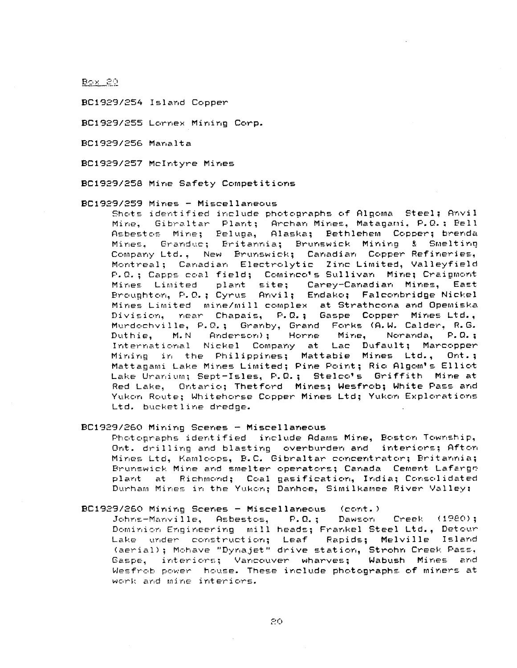**BOX 20** 

BC1929/254 Island Copper

BC1929/255 Lornex Mining Corp .

BC1929/256 Manalt a

BC1929/257 McIntyre Mines

BC1929/258 Mine Safety Competitions

BC1929/259 Mines - Miscellaneous

Shots identified include photographs of Algoma Steel; Anvil Mine, Gibraltar Plant; Archan Mines, Matagami, P.O.: Bell Asbestos Mine; Beluga, Alaska; Bethlehem Copper; brenda Mines, Granduc; Britannia; Brunswick Mining & Smelting Company Ltd., New Brunswick; Canadian Copper Refineries, Montreal; Canadian Electrolytic Zinc Limited, Valleyfield P.Q.; Capps coal field; Cominco's Sullivan Mine; Craigmont Mines Limited plant site; Carey-Canadian Mines, East Broughton, P.O.; Cyrus Anvil; Endako; Falconbridge Nickel Mines Limited mine/mill complex at Strathcona and Opemiska Division, near Chapais, P.Q.; Gaspe Copper Mines Ltd., Murdochville, P.Q.; Granby, Grand Forks (A.W. Calder, R.G.<br>Duthie, M.N Anderson): Horne Mire, Noranda, P.Q.; M.N Anderson); Horne Mine, International Nickel Company at Lac Dufault; Marcopper Mining in the Philippines; Mattabie Mines Ltd., Ont.; Mattagami Lake Mines Limited; Pine Point; Rio Algom's Elliot Lake Uranium: Sept-Isles, P.Q.: Stelco's Griffith Mine at Red Lake, Ontario; Thetford Mines; Wesfrob; White Pass and Yukon Route; Whitehorse Copper Mines Ltd; Yukon Explorations Ltd. bucketline dredge.

## BC1929/260 Mining Scenes - Miscellaneous

Photographs identified include Adams Mine, Boston Township, Ont. drilling and blasting overburden and interiors; Afton Mines Ltd, Kamloops, B.C. Gibraltar concentrator; Britannia; Brunswick Mine and smelter operators; Canada Cement Lafarge plant at Richmond; Coal-gasification, India; Consolidated Durham Mines in the Yukon; Danhoe, Similkamee River Valley:

#### BC1929/260 Mining Scenes - Miscellaneous (cont . )

Johns-Manville, Asbestos, P.O. ; Dawson Creek (1920) ; Dominion Engineering mill heads; Frankel Steel Ltd., Detour Lake under construction; Leaf Rapids; Melville Island (aerial) ; Mohave "Dynajet" drive station, Strohn Creek Pass , Gaspe, interiors; Vancouver wharves; Wabush Mines and Wesfrob power house. These include photographs of miners at work and mine interiors.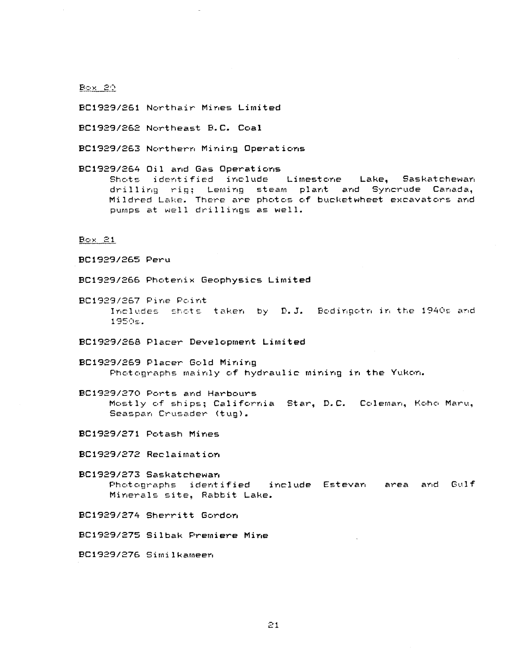**BOX 20** 

Bc1929/261 Northair Mines Limited

PC1929/262 Northeast B.C . Coa <sup>l</sup>

BC1929/263 Northern Mining Operations

BC1929/264 Oil and Gas Operations<br>Shots identified include Limestone Shots identified include Limestone Lake, Saskatchewan drilling rig; Leming steam plant and Syncrude Canada, Mildred Lake. There are photos of bucketwheet excavators and pumps at well drillings as well.

 $B<sub>C</sub> \times 21$ 

, BC192g/265 Peru

BC1929/266 Photenix Geophysics Limited

BC1929/267 Pine Point Includes shots taken by D.J. Bodingotn in the 1940s and 1950E .

BC1929/268 Placer Development Limited

BC1929/269 Placer Gold Mining Photographs mainly of hydraulic mining in the Yukon.

BC1929/270 Ports and Harbours Mostly of ships; California Star, D.C. Coleman, Koho Maru, Seaspan Crusader (tug) .

BC1929/271 Potash Mines

BC1929/272 Reclaimation

BC1929/273 Saskatchewan Photographs identified include Estevan area and Gulf Minerals site, Rabbit Lake .

BC1929/274 Sherritt Gordon

BC1929/275 Silbak Premiere Mine

BC1929/276 Similkemeen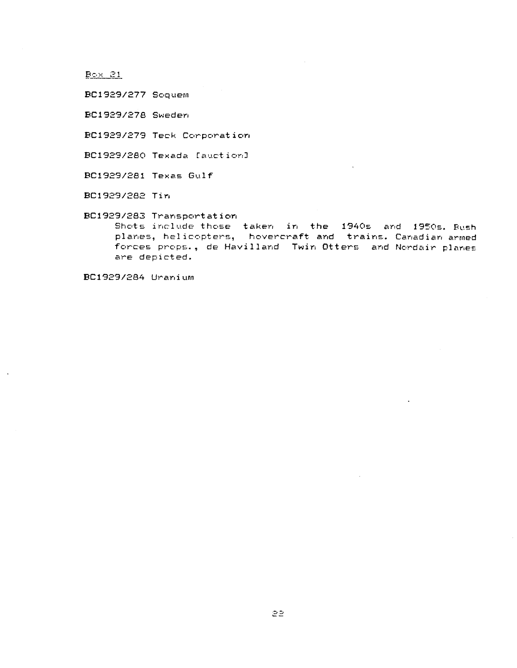$B \subseteq X$   $21$ 

BC1929/277 Scquem

BC1929/278 Sweden

BC1929/279 Teck Corporation

BC1929/280 Texada [auction]

BC1929/281 Texas Gulf

BC1929/282 Tin

BC1929/283 Transportation

Shots include those taken in the 1940s and 1950s. Bush planes, helicopters, hovercraft and trains. Canadian armed forces props., de Havilland Twin Otters and Nordair planes are depicted .

BC1929/284 Uranium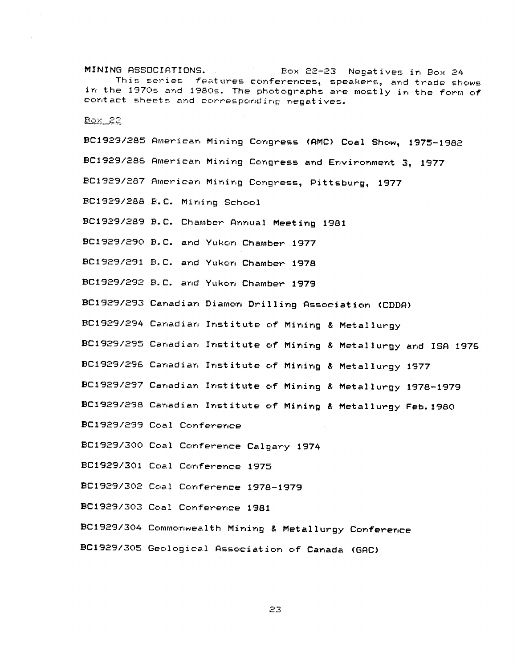MINING ASSOCIATIONS . Box 22-23 Negatives in Box 24 This series features conferences, speakers, and trade shows in the 1970s and 1980s. The photographs are mostly in the form of contact sheets and corresponding negatives .

Box<sub>22</sub>

BC1929/285 American Mining Congress (AMC) Coal Show, 1975-1982 BC1929/286 American Mining Congress and Environment 3, 1977 BC1929/287 American Mining Congress, Pittsburg, 1977 BC1929/288 B.C. Mining School BC1929/289 B.C. Chamber Annual Meeting 1981 PC1929/290 B .C. and Yukon Chamber 1977 BC1929/291 B .C. and Yukon Chamber 1978 BC1929/292 B .C . and Yukon Chamber 1979 BC1929/293 Canadian Diamon Drilling Association (CDDA) BC1929/294 Canadian Institute of Mining & Metallurgy BC1929/295 Canadian Institute of Mining & Metallurgy and IBA 1976 BC1929/296 Canadian Institute of Mining & Metallurgy 1977 BC1929/297 Canadian Institute of Mining & Metallurgy 1978-1979 BC1929/298 Canadian Institute of Mining & Metallurgy Feb. 1980 BC1929/299 Coal Conference BC1929/300 Coal Conference Calgary 1974 BC1929/301 Coal Conference 1975 BC1929/302 Coal Conference 1978-1979 BC1929/303 Coal Conference 1981 BC1929/304 Commonwealth Mining & Metallurgy Conference

PC1929/305 Geological Association of Canada (GAC)

23